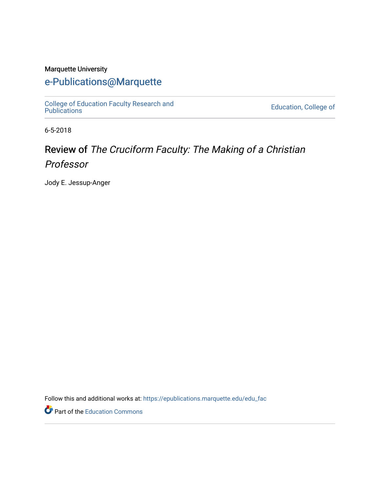#### Marquette University

#### [e-Publications@Marquette](https://epublications.marquette.edu/)

[College of Education Faculty Research and](https://epublications.marquette.edu/edu_fac)  [Publications](https://epublications.marquette.edu/edu_fac) [Education, College of](https://epublications.marquette.edu/education) 

6-5-2018

## Review of The Cruciform Faculty: The Making of a Christian Professor

Jody E. Jessup-Anger

Follow this and additional works at: [https://epublications.marquette.edu/edu\\_fac](https://epublications.marquette.edu/edu_fac?utm_source=epublications.marquette.edu%2Fedu_fac%2F535&utm_medium=PDF&utm_campaign=PDFCoverPages) 

Part of the [Education Commons](http://network.bepress.com/hgg/discipline/784?utm_source=epublications.marquette.edu%2Fedu_fac%2F535&utm_medium=PDF&utm_campaign=PDFCoverPages)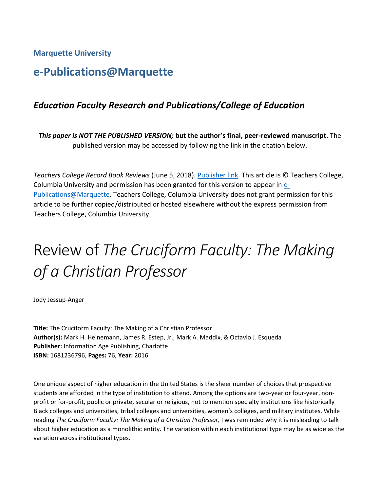**Marquette University**

## **e-Publications@Marquette**

#### *Education Faculty Research and Publications/College of Education*

*This paper is NOT THE PUBLISHED VERSION;* **but the author's final, peer-reviewed manuscript.** The published version may be accessed by following the link in the citation below.

*Teachers College Record Book Reviews* (June 5, 2018). [Publisher link.](https://www.tcrecord.org/Content.asp?ContentId=22397) This article is © Teachers College, Columbia University and permission has been granted for this version to appear in [e-](http://epublications.marquette.edu/)[Publications@Marquette.](http://epublications.marquette.edu/) Teachers College, Columbia University does not grant permission for this article to be further copied/distributed or hosted elsewhere without the express permission from Teachers College, Columbia University.

# Review of *The Cruciform Faculty: The Making of a Christian Professor*

Jody Jessup-Anger

**Title:** The Cruciform Faculty: The Making of a Christian Professor **Author(s):** Mark H. Heinemann, James R. Estep, Jr., Mark A. Maddix, & Octavio J. Esqueda **Publisher:** Information Age Publishing, Charlotte **ISBN:** 1681236796, **Pages:** 76, **Year:** 2016

One unique aspect of higher education in the United States is the sheer number of choices that prospective students are afforded in the type of institution to attend. Among the options are two-year or four-year, nonprofit or for-profit, public or private, secular or religious, not to mention specialty institutions like historically Black colleges and universities, tribal colleges and universities, women's colleges, and military institutes. While reading *The Cruciform Faculty: The Making of a Christian Professor,* I was reminded why it is misleading to talk about higher education as a monolithic entity. The variation within each institutional type may be as wide as the variation across institutional types.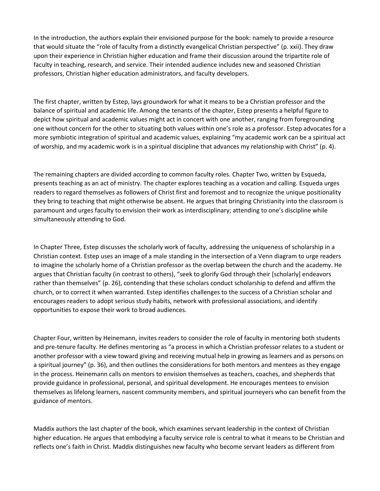In the introduction, the authors explain their envisioned purpose for the book: namely to provide a resource that would situate the "role of faculty from a distinctly evangelical Christian perspective" (p. xxii). They draw upon their experience in Christian higher education and frame their discussion around the tripartite role of faculty in teaching, research, and service. Their intended audience includes new and seasoned Christian professors, Christian higher education administrators, and faculty developers.

The first chapter, written by Estep, lays groundwork for what it means to be a Christian professor and the balance of spiritual and academic life. Among the tenants of the chapter, Estep presents a helpful figure to depict how spiritual and academic values might act in concert with one another, ranging from foregrounding one without concern for the other to situating both values within one's role as a professor. Estep advocates for a more symbiotic integration of spiritual and academic values, explaining "my academic work can be a spiritual act of worship, and my academic work is in a spiritual discipline that advances my relationship with Christ" (p. 4).

The remaining chapters are divided according to common faculty roles. Chapter Two, written by Esqueda, presents teaching as an act of ministry. The chapter explores teaching as a vocation and calling. Esqueda urges readers to regard themselves as followers of Christ first and foremost and to recognize the unique positionality they bring to teaching that might otherwise be absent. He argues that bringing Christianity into the classroom is paramount and urges faculty to envision their work as interdisciplinary; attending to one's discipline while simultaneously attending to God.

In Chapter Three, Estep discusses the scholarly work of faculty, addressing the uniqueness of scholarship in a Christian context. Estep uses an image of a male standing in the intersection of a Venn diagram to urge readers to imagine the scholarly home of a Christian professor as the overlap between the church and the academy. He argues that Christian faculty (in contrast to others), "seek to glorify God through their [scholarly] endeavors rather than themselves" (p. 26), contending that these scholars conduct scholarship to defend and affirm the church, or to correct it when warranted. Estep identifies challenges to the success of a Christian scholar and encourages readers to adopt serious study habits, network with professional associations, and identify opportunities to expose their work to broad audiences.

Chapter Four, written by Heinemann, invites readers to consider the role of faculty in mentoring both students and pre-tenure faculty. He defines mentoring as "a process in which a Christian professor relates to a student or another professor with a view toward giving and receiving mutual help in growing as learners and as persons on a spiritual journey" (p. 36), and then outlines the considerations for both mentors and mentees as they engage in the process. Heinemann calls on mentors to envision themselves as teachers, coaches, and shepherds that provide guidance in professional, personal, and spiritual development. He encourages mentees to envision themselves as lifelong learners, nascent community members, and spiritual journeyers who can benefit from the guidance of mentors.

Maddix authors the last chapter of the book, which examines servant leadership in the context of Christian higher education. He argues that embodying a faculty service role is central to what it means to be Christian and reflects one's faith in Christ. Maddix distinguishes new faculty who become servant leaders as different from